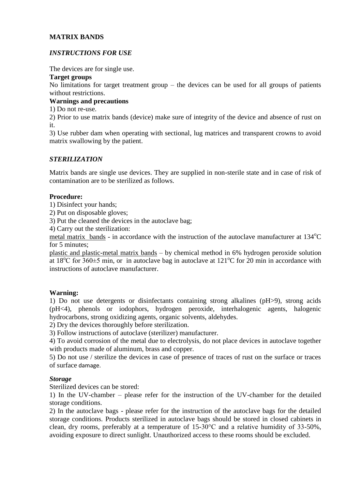# **MATRIX BANDS**

# *INSTRUCTIONS FOR USE*

The devices are for single use.

#### **Target groups**

No limitations for target treatment group – the devices can be used for all groups of patients without restrictions.

### **Warnings and precautions**

1) Do not re-use.

2) Prior to use matrix bands (device) make sure of integrity of the device and absence of rust on it.

3) Use rubber dam when operating with sectional, lug matrices and transparent crowns to avoid matrix swallowing by the patient.

## *STERILIZATION*

Matrix bands are single use devices. They are supplied in non-sterile state and in case of risk of contamination are to be sterilized as follows.

### **Procedure:**

1) Disinfect your hands;

2) Put on disposable gloves;

3) Put the cleaned the devices in the autoclave bag;

4) Carry out the sterilization:

metal matrix bands - in accordance with the instruction of the autoclave manufacturer at  $134^{\circ}$ C for 5 minutes;

plastic and plastic-metal matrix bands – by chemical method in 6% [hydrogen peroxide](https://www.multitran.com/m.exe?s=hidrogen+peroxide&l1=1&l2=2) solution at 18<sup>o</sup>C for  $360\pm5$  min, or in autoclave bag in autoclave at 121<sup>o</sup>C for 20 min in accordance with instructions of autoclave manufacturer.

## **Warning:**

1) Do not use detergents or disinfectants containing strong alkalines (pH>9), strong acids (pH<4), phenols or iodophors, hydrogen peroxide, interhalogenic agents, halogenic hydrocarbons, strong oxidizing agents, organic solvents, aldehydes.

2) Dry the devices thoroughly before sterilization.

3) Follow instructions of autoclave (sterilizer) manufacturer.

4) To avoid corrosion of the metal due to electrolysis, do not place devices in autoclave together with products made of aluminum, brass and copper.

5) Do not use / sterilize the devices in case of presence of traces of rust on the surface or traces of surface damage.

#### *Storage*

Sterilized devices can be stored:

1) In the UV-chamber – please refer for the instruction of the UV-chamber for the detailed storage conditions.

2) In the autoclave bags - please refer for the instruction of the autoclave bags for the detailed storage conditions. Products sterilized in autoclave bags should be stored in closed cabinets in clean, dry rooms, preferably at a temperature of 15-30°C and a relative humidity of 33-50%, avoiding exposure to direct sunlight. Unauthorized access to these rooms should be excluded.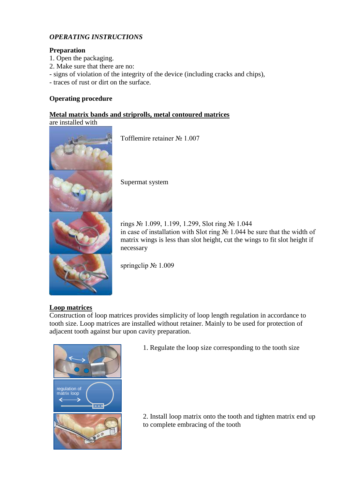# *OPERATING INSTRUCTIONS*

# **Preparation**

- 1. Open the packaging.
- 2. Make sure that there are no:
- signs of violation of the integrity of the device (including cracks and chips),
- traces of rust or dirt on the surface.

# **Operating procedure**

#### **Metal matrix bands and striprolls, metal contoured matrices** are installed with



Tofflemire retainer № 1.007

Supermat system

rings № 1.099, 1.199, 1.299, Slot ring № 1.044 in case of installation with Slot ring № 1.044 be sure that the width of matrix wings is less than slot height, cut the wings to fit slot height if necessary

springclip № 1.009

## **Loop matrices**

Construction of loop matrices provides simplicity of loop length regulation in accordance to tooth size. Loop matrices are installed without retainer. Mainly to be used for protection of adjacent tooth against bur upon cavity preparation.



1. Regulate the loop size corresponding to the tooth size

2. Install loop matrix onto the tooth and tighten matrix end up to complete embracing of the tooth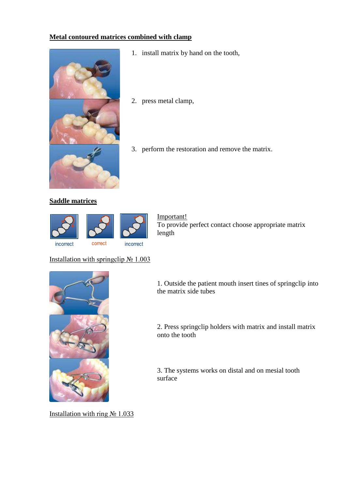# **Metal contoured matrices combined with clamp**



- 1. install matrix by hand on the tooth,
- 2. press metal clamp,
- 3. perform the restoration and remove the matrix.

# **Saddle matrices**



Important! To provide perfect contact choose appropriate matrix length

# Installation with springclip  $N_2$  1.003



1. Outside the patient mouth insert tines of springclip into the matrix side tubes

2. Press springclip holders with matrix and install matrix onto the tooth

3. The systems works on distal and on mesial tooth surface

Installation with ring № 1.033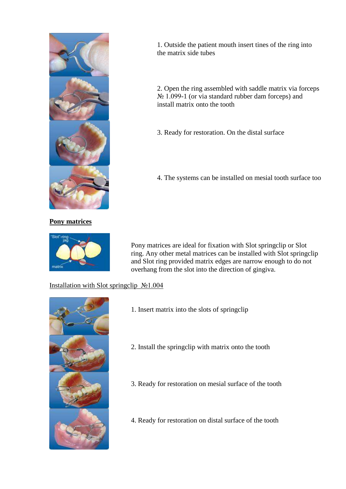

**Pony matrices** 



1. Outside the patient mouth insert tines of the ring into the matrix side tubes

2. Open the ring assembled with saddle matrix via forceps № 1.099-1 (or via standard rubber dam forceps) and install matrix onto the tooth

3. Ready for restoration. On the distal surface

4. The systems can be installed on mesial tooth surface too

Pony matrices are ideal for fixation with Slot springclip or Slot ring. Any other metal matrices can be installed with Slot springclip and Slot ring provided matrix edges are narrow enough to do not overhang from the slot into the direction of gingiva.

# Installation with Slot springclip №1.004



- 1. Insert matrix into the slots of springclip
- 2. Install the springclip with matrix onto the tooth
- 3. Ready for restoration on mesial surface of the tooth
- 4. Ready for restoration on distal surface of the tooth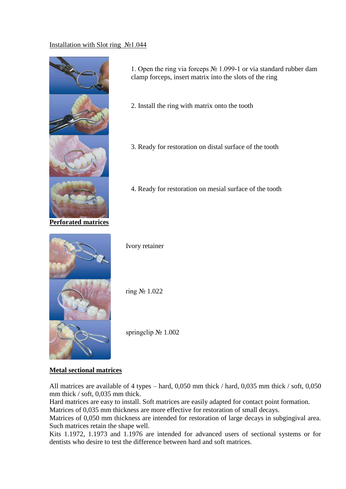# Installation with Slot ring №1.044



1. Open the ring via forceps № 1.099-1 or via standard rubber dam clamp forceps, insert matrix into the slots of the ring

- 2. Install the ring with matrix onto the tooth
- 3. Ready for restoration on distal surface of the tooth
- 4. Ready for restoration on mesial surface of the tooth



Ivory retainer

ring № 1.022

springclip № 1.002

# **Metal sectional matrices**

All matrices are available of 4 types – hard, 0,050 mm thick / hard, 0,035 mm thick / soft, 0,050 mm thick / soft, 0,035 mm thick.

Hard matrices are easy to install. Soft matrices are easily adapted for contact point formation. Matrices of 0,035 mm thickness are more effective for restoration of small decays.

Matrices of 0,050 mm thickness are intended for restoration of large decays in subgingival area. Such matrices retain the shape well.

Kits 1.1972, 1.1973 and 1.1976 are intended for advanced users of sectional systems or for dentists who desire to test the difference between hard and soft matrices.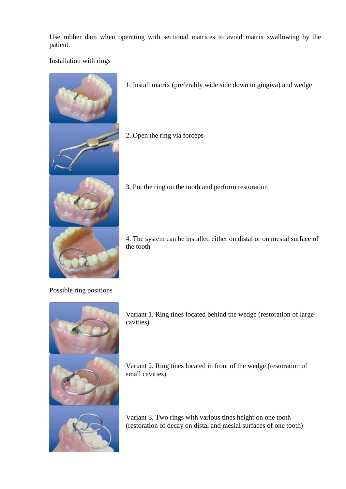Use rubber dam when operating with sectional matrices to avoid matrix swallowing by the patient.

# Installation with rings



- 1. Install matrix (preferably wide side down to gingiva) and wedge
- 2. Open the ring via forceps



3. Put the ring on the tooth and perform restoration

4. The system can be installed either on distal or on mesial surface of the tooth

Possible ring positions



Variant 1. Ring tines located behind the wedge (restoration of large cavities)

Variant 2. Ring tines located in front of the wedge (restoration of small cavities)

Variant 3. Two rings with various tines height on one tooth (restoration of decay on distal and mesial surfaces of one tooth)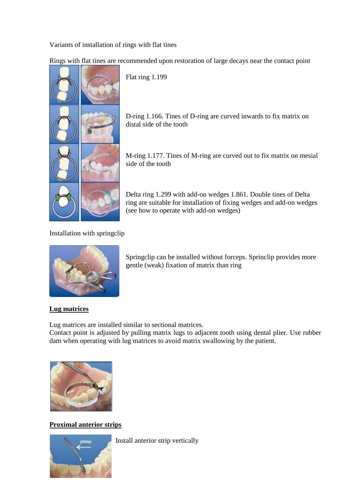Variants of installation of rings with flat tines

Rings with flat tines are recommended upon restoration of large decays near the contact point

Flat ring 1.199

D-ring 1.166. Tines of D-ring are curved inwards to fix matrix on distal side of the tooth

M-ring 1.177. Tines of M-ring are curved out to fix matrix on mesial side of the tooth

Delta ring 1.299 with add-on wedges 1.861. Double tines of Delta ring are suitable for installation of fixing wedges and add-on wedges (see how to operate with add-on wedges)

Installation with springclip



Springclip can be installed without forceps. Sprinclip provides more gentle (weak) fixation of matrix than ring

# **Lug matrices**

Lug matrices are installed similar to sectional matrices.

Contact point is adjusted by pulling matrix lugs to adjacent tooth using dental plier. Use rubber dam when operating with lug matrices to avoid matrix swallowing by the patient.



**Proximal anterior strips**



Install anterior strip vertically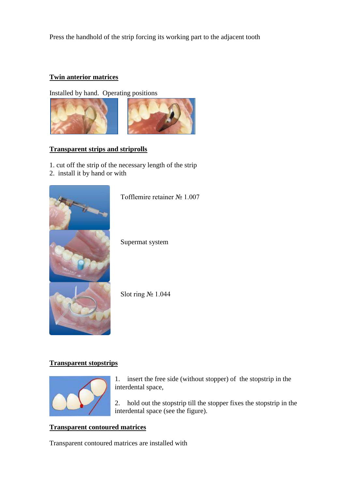Press the handhold of the strip forcing its working part to the adjacent tooth

# **Twin anterior matrices**

Installed by hand. Operating positions



# **Transparent strips and striprolls**

1. cut off the strip of the necessary length of the strip

2. install it by hand or with



Tofflemire retainer № 1.007

Supermat system

Slot ring № 1.044

# **Transparent stopstrips**



1. insert the free side (without stopper) of the stopstrip in the interdental space,

2. hold out the stopstrip till the stopper fixes the stopstrip in the interdental space (see the figure).

## **Transparent contoured matrices**

Transparent contoured matrices are installed with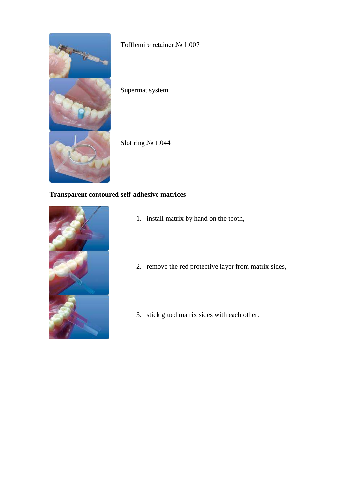

Tofflemire retainer № 1.007

Supermat system

Slot ring № 1.044

# **Transparent contoured self-adhesive matrices**



- 1. install matrix by hand on the tooth,
- 2. remove the red protective layer from matrix sides,
- 3. stick glued matrix sides with each other.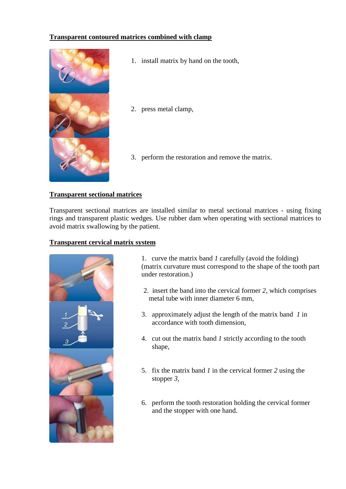# **Transparent contoured matrices combined with clamp**



- 1. install matrix by hand on the tooth,
- 2. press metal clamp,
- 3. perform the restoration and remove the matrix.

## **Transparent sectional matrices**

Transparent sectional matrices are installed similar to metal sectional matrices - using fixing rings and transparent plastic wedges. Use rubber dam when operating with sectional matrices to avoid matrix swallowing by the patient.

### **Transparent cervical matrix system**



1. curve the matrix band *1* carefully (avoid the folding) (matrix curvature must correspond to the shape of the tooth part under restoration.)

- 2. insert the band into the cervical former *2*, which comprises metal tube with inner diameter 6 mm,
- 3. approximately adjust the length of the matrix band *1* in accordance with tooth dimension,
- 4. cut out the matrix band *1* strictly according to the tooth shape,
- 5. fix the matrix band *1* in the cervical former *2* using the stopper *3*,
- 6. perform the tooth restoration holding the cervical former and the stopper with one hand.